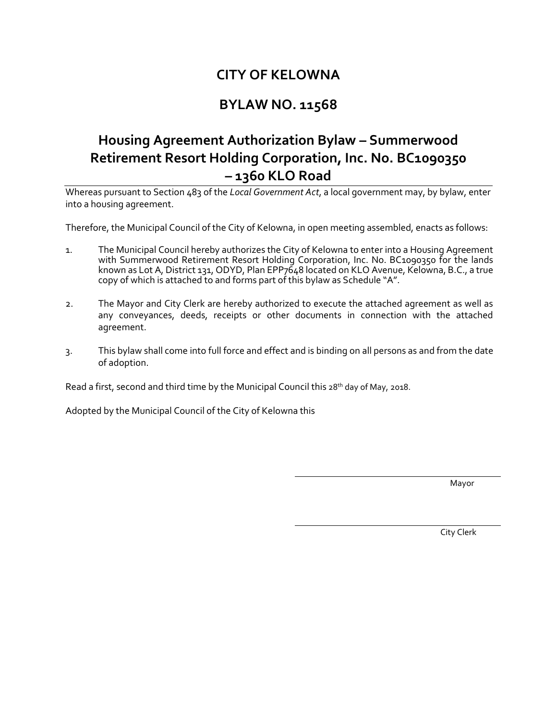# **CITY OF KELOWNA**

## **BYLAW NO. 11568**

# **Housing Agreement Authorization Bylaw – Summerwood Retirement Resort Holding Corporation, Inc. No. BC1090350 – 1360 KLO Road**

Whereas pursuant to Section 483 of the *Local Government Act*, a local government may, by bylaw, enter into a housing agreement.

Therefore, the Municipal Council of the City of Kelowna, in open meeting assembled, enacts as follows:

- 1. The Municipal Council hereby authorizes the City of Kelowna to enter into a Housing Agreement with Summerwood Retirement Resort Holding Corporation, Inc. No. BC1090350 for the lands known as Lot A, District 131, ODYD, Plan EPP7648 located on KLO Avenue, Kelowna, B.C., a true copy of which is attached to and forms part of this bylaw as Schedule "A".
- 2. The Mayor and City Clerk are hereby authorized to execute the attached agreement as well as any conveyances, deeds, receipts or other documents in connection with the attached agreement.
- 3. This bylaw shall come into full force and effect and is binding on all persons as and from the date of adoption.

Read a first, second and third time by the Municipal Council this  $28<sup>th</sup>$  day of May, 2018.

Adopted by the Municipal Council of the City of Kelowna this

Mayor and the contract of the contract of the contract of the contract of the contract of the contract of the c

City Clerk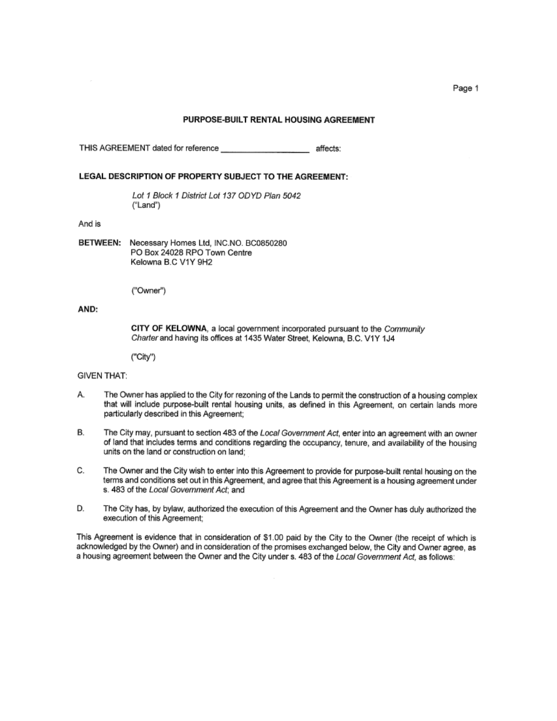## PURPOSE-BUILT RENTAL HOUSING AGREEMENT

THIS AGREEMENT dated for reference affects:

## LEGAL DESCRIPTION OF PROPERTY SUBJECT TO THE AGREEMENT:

Lot 1 Block 1 District Lot 137 ODYD Plan 5042 ("Land")

And is

BETWEEN: Necessary Homes Ltd. INC.NO. BC0850280 PO Box 24028 RPO Town Centre Kelowna B.C V1Y 9H2

("Owner")

AND:

CITY OF KELOWNA, a local government incorporated pursuant to the Community Charter and having its offices at 1435 Water Street, Kelowna, B.C. V1Y 1J4

("City")

**GIVEN THAT:** 

- The Owner has applied to the City for rezoning of the Lands to permit the construction of a housing complex А. that will include purpose-built rental housing units, as defined in this Agreement, on certain lands more particularly described in this Agreement;
- The City may, pursuant to section 483 of the Local Government Act, enter into an agreement with an owner B. of land that includes terms and conditions regarding the occupancy, tenure, and availability of the housing units on the land or construction on land;
- C. The Owner and the City wish to enter into this Agreement to provide for purpose-built rental housing on the terms and conditions set out in this Agreement, and agree that this Agreement is a housing agreement under s. 483 of the Local Government Act; and
- D. The City has, by bylaw, authorized the execution of this Agreement and the Owner has duly authorized the execution of this Agreement;

This Agreement is evidence that in consideration of \$1.00 paid by the City to the Owner (the receipt of which is acknowledged by the Owner) and in consideration of the promises exchanged below, the City and Owner agree, as a housing agreement between the Owner and the City under s. 483 of the Local Government Act, as follows:

Page 1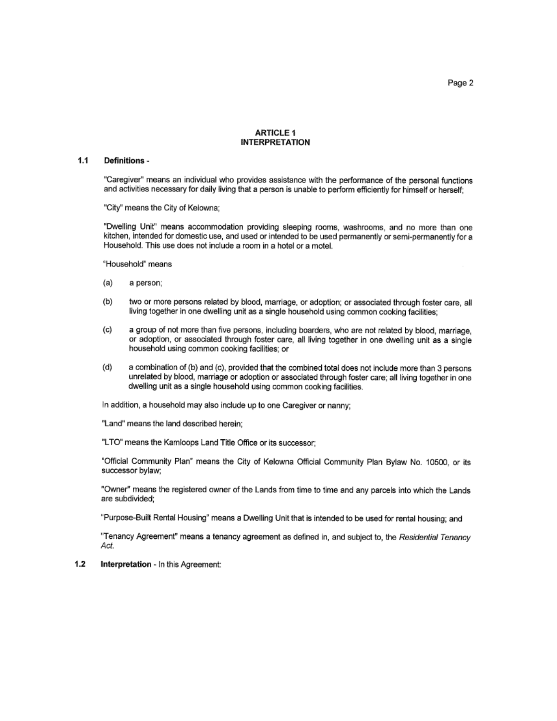## **ARTICLE 1 INTERPRETATION**

#### $1.1$ Definitions -

"Caregiver" means an individual who provides assistance with the performance of the personal functions and activities necessary for daily living that a person is unable to perform efficiently for himself or herself;

"City" means the City of Kelowna;

"Dwelling Unit" means accommodation providing sleeping rooms, washrooms, and no more than one kitchen, intended for domestic use, and used or intended to be used permanently or semi-permanently for a Household. This use does not include a room in a hotel or a motel.

"Household" means

- $(a)$ a person;
- $(b)$ two or more persons related by blood, marriage, or adoption; or associated through foster care, all living together in one dwelling unit as a single household using common cooking facilities;
- a group of not more than five persons, including boarders, who are not related by blood, marriage,  $(c)$ or adoption, or associated through foster care, all living together in one dwelling unit as a single household using common cooking facilities; or
- a combination of (b) and (c), provided that the combined total does not include more than 3 persons  $(d)$ unrelated by blood, marriage or adoption or associated through foster care; all living together in one dwelling unit as a single household using common cooking facilities.

In addition, a household may also include up to one Caregiver or nanny;

"Land" means the land described herein:

"LTO" means the Kamloops Land Title Office or its successor:

"Official Community Plan" means the City of Kelowna Official Community Plan Bylaw No. 10500, or its successor bylaw;

"Owner" means the registered owner of the Lands from time to time and any parcels into which the Lands are subdivided;

"Purpose-Built Rental Housing" means a Dwelling Unit that is intended to be used for rental housing; and

"Tenancy Agreement" means a tenancy agreement as defined in, and subject to, the Residential Tenancy Act.

#### $1.2$ Interpretation - In this Agreement: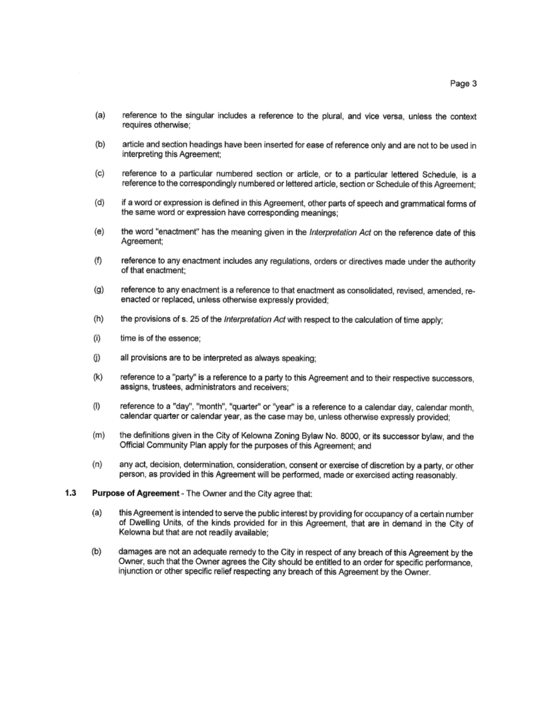- reference to the singular includes a reference to the plural, and vice versa, unless the context (a) requires otherwise;
- article and section headings have been inserted for ease of reference only and are not to be used in  $(b)$ interpreting this Agreement:
- reference to a particular numbered section or article, or to a particular lettered Schedule, is a (c) reference to the correspondingly numbered or lettered article, section or Schedule of this Agreement;
- (d) if a word or expression is defined in this Agreement, other parts of speech and grammatical forms of the same word or expression have corresponding meanings:
- (e) the word "enactment" has the meaning given in the Interpretation Act on the reference date of this Agreement;
- reference to any enactment includes any regulations, orders or directives made under the authority (f) of that enactment;
- (g) reference to any enactment is a reference to that enactment as consolidated, revised, amended, reenacted or replaced, unless otherwise expressly provided;
- the provisions of s. 25 of the Interpretation Act with respect to the calculation of time apply; (h)
- $(i)$ time is of the essence:
- (j) all provisions are to be interpreted as always speaking:
- reference to a "party" is a reference to a party to this Agreement and to their respective successors. (k) assigns, trustees, administrators and receivers;
- $(1)$ reference to a "day", "month", "quarter" or "year" is a reference to a calendar day, calendar month. calendar quarter or calendar year, as the case may be, unless otherwise expressly provided;
- the definitions given in the City of Kelowna Zoning Bylaw No. 8000, or its successor bylaw, and the  $(m)$ Official Community Plan apply for the purposes of this Agreement; and
- $(n)$ any act, decision, determination, consideration, consent or exercise of discretion by a party, or other person, as provided in this Agreement will be performed, made or exercised acting reasonably.
- $1.3$ Purpose of Agreement - The Owner and the City agree that:
	- $(a)$ this Agreement is intended to serve the public interest by providing for occupancy of a certain number of Dwelling Units, of the kinds provided for in this Agreement, that are in demand in the City of Kelowna but that are not readily available;
	- $(b)$ damages are not an adequate remedy to the City in respect of any breach of this Agreement by the Owner, such that the Owner agrees the City should be entitled to an order for specific performance. injunction or other specific relief respecting any breach of this Agreement by the Owner.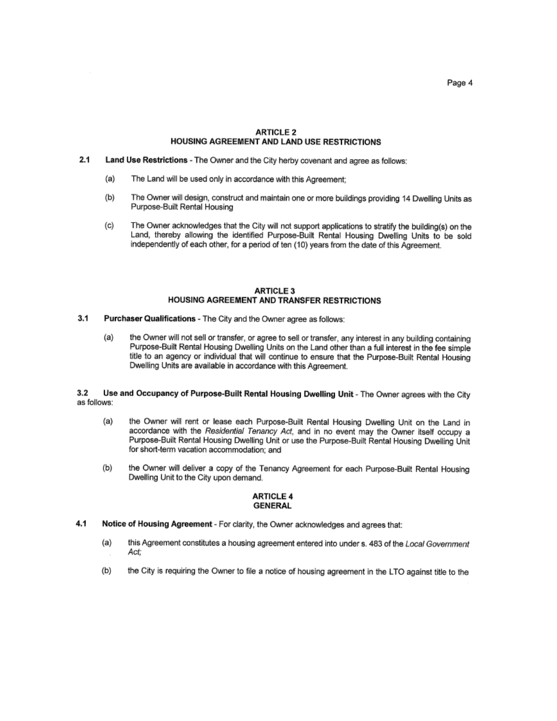## **ARTICLE 2 HOUSING AGREEMENT AND LAND USE RESTRICTIONS**

- $2.1$ Land Use Restrictions - The Owner and the City herby covenant and agree as follows:
	- The Land will be used only in accordance with this Agreement;  $(a)$
	- $(b)$ The Owner will design, construct and maintain one or more buildings providing 14 Dwelling Units as Purpose-Built Rental Housing
	- $(c)$ The Owner acknowledges that the City will not support applications to stratify the building(s) on the Land, thereby allowing the identified Purpose-Built Rental Housing Dwelling Units to be sold independently of each other, for a period of ten (10) years from the date of this Agreement.

## **ARTICLE 3** HOUSING AGREEMENT AND TRANSFER RESTRICTIONS

- Purchaser Qualifications The City and the Owner agree as follows:  $3.1$ 
	- the Owner will not sell or transfer, or agree to sell or transfer, any interest in any building containing  $(a)$ Purpose-Built Rental Housing Dwelling Units on the Land other than a full interest in the fee simple title to an agency or individual that will continue to ensure that the Purpose-Built Rental Housing Dwelling Units are available in accordance with this Agreement.

Use and Occupancy of Purpose-Built Rental Housing Dwelling Unit - The Owner agrees with the City  $3.2$ as follows:

- $(a)$ the Owner will rent or lease each Purpose-Built Rental Housing Dwelling Unit on the Land in accordance with the Residential Tenancy Act, and in no event may the Owner itself occupy a Purpose-Built Rental Housing Dwelling Unit or use the Purpose-Built Rental Housing Dwelling Unit for short-term vacation accommodation; and
- $(b)$ the Owner will deliver a copy of the Tenancy Agreement for each Purpose-Built Rental Housing Dwelling Unit to the City upon demand.

## **ARTICLE 4 GENERAL**

- $4.1$ Notice of Housing Agreement - For clarity, the Owner acknowledges and agrees that:
	- $(a)$ this Agreement constitutes a housing agreement entered into under s. 483 of the Local Government Act;
	- $(b)$ the City is requiring the Owner to file a notice of housing agreement in the LTO against title to the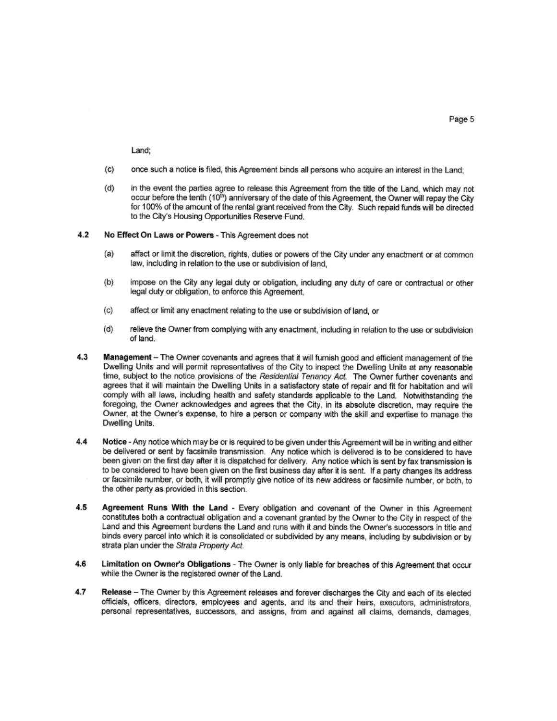Land;

- $(c)$ once such a notice is filed, this Agreement binds all persons who acquire an interest in the Land;
- $(d)$ in the event the parties agree to release this Agreement from the title of the Land, which may not occur before the tenth (10<sup>th</sup>) anniversary of the date of this Agreement, the Owner will repay the City for 100% of the amount of the rental grant received from the City. Such repaid funds will be directed to the City's Housing Opportunities Reserve Fund.

#### $4.2$ No Effect On Laws or Powers - This Agreement does not

- $(a)$ affect or limit the discretion, rights, duties or powers of the City under any enactment or at common law, including in relation to the use or subdivision of land.
- $(b)$ impose on the City any legal duty or obligation, including any duty of care or contractual or other legal duty or obligation, to enforce this Agreement.
- (c) affect or limit any enactment relating to the use or subdivision of land, or
- relieve the Owner from complying with any enactment, including in relation to the use or subdivision (d) of land.
- $4.3$ Management - The Owner covenants and agrees that it will furnish good and efficient management of the Dwelling Units and will permit representatives of the City to inspect the Dwelling Units at any reasonable time. subject to the notice provisions of the Residential Tenancy Act. The Owner further covenants and agrees that it will maintain the Dwelling Units in a satisfactory state of repair and fit for habitation and will comply with all laws, including health and safety standards applicable to the Land. Notwithstanding the foregoing, the Owner acknowledges and agrees that the City, in its absolute discretion, may require the Owner, at the Owner's expense, to hire a person or company with the skill and expertise to manage the Dwelling Units.
- 4.4 Notice - Any notice which may be or is required to be given under this Agreement will be in writing and either be delivered or sent by facsimile transmission. Any notice which is delivered is to be considered to have been given on the first day after it is dispatched for delivery. Any notice which is sent by fax transmission is to be considered to have been given on the first business day after it is sent. If a party changes its address or facsimile number, or both, it will promptly give notice of its new address or facsimile number, or both, to the other party as provided in this section.
- 4.5 Agreement Runs With the Land - Every obligation and covenant of the Owner in this Agreement constitutes both a contractual obligation and a covenant granted by the Owner to the City in respect of the Land and this Agreement burdens the Land and runs with it and binds the Owner's successors in title and binds every parcel into which it is consolidated or subdivided by any means, including by subdivision or by strata plan under the Strata Property Act.
- Limitation on Owner's Obligations The Owner is only liable for breaches of this Agreement that occur 4.6 while the Owner is the registered owner of the Land.
- 4.7 Release - The Owner by this Agreement releases and forever discharges the City and each of its elected officials, officers, directors, employees and agents, and its and their heirs, executors, administrators, personal representatives, successors, and assigns, from and against all claims, demands, damages,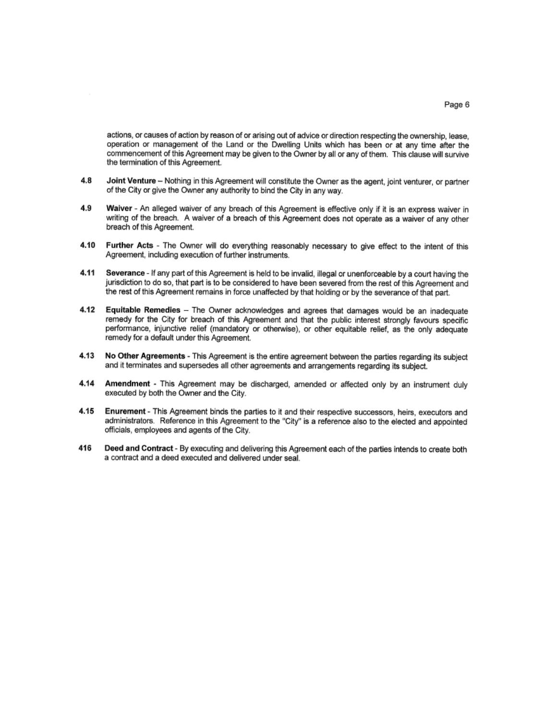actions, or causes of action by reason of or arising out of advice or direction respecting the ownership, lease, operation or management of the Land or the Dwelling Units which has been or at any time after the commencement of this Agreement may be given to the Owner by all or any of them. This clause will survive the termination of this Agreement.

- Joint Venture Nothing in this Agreement will constitute the Owner as the agent, joint venturer, or partner 4.8 of the City or give the Owner any authority to bind the City in any way.
- 4.9 Waiver - An alleged waiver of any breach of this Agreement is effective only if it is an express waiver in writing of the breach. A waiver of a breach of this Agreement does not operate as a waiver of any other breach of this Agreement.
- 4.10 Further Acts The Owner will do everything reasonably necessary to give effect to the intent of this Agreement, including execution of further instruments.
- 4.11 Severance - If any part of this Agreement is held to be invalid, illegal or unenforceable by a court having the jurisdiction to do so, that part is to be considered to have been severed from the rest of this Agreement and the rest of this Agreement remains in force unaffected by that holding or by the severance of that part.
- 4.12 Equitable Remedies The Owner acknowledges and agrees that damages would be an inadequate remedy for the City for breach of this Agreement and that the public interest strongly favours specific performance, injunctive relief (mandatory or otherwise), or other equitable relief, as the only adequate remedy for a default under this Agreement.
- No Other Agreements This Agreement is the entire agreement between the parties regarding its subject 4.13 and it terminates and supersedes all other agreements and arrangements regarding its subject.
- 4.14 Amendment - This Agreement may be discharged, amended or affected only by an instrument duly executed by both the Owner and the City.
- Enurement This Agreement binds the parties to it and their respective successors, heirs, executors and 4.15 administrators. Reference in this Agreement to the "City" is a reference also to the elected and appointed officials, employees and agents of the City.
- 416 Deed and Contract - By executing and delivering this Agreement each of the parties intends to create both a contract and a deed executed and delivered under seal.